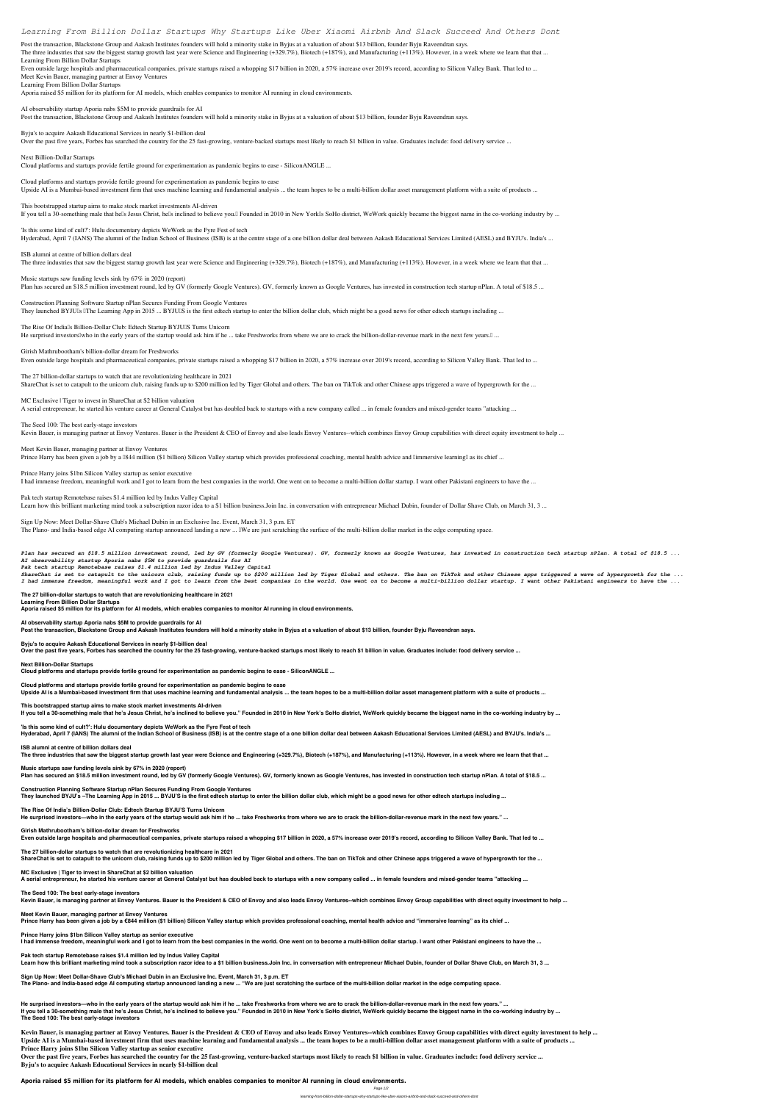# *Learning From Billion Dollar Startups Why Startups Like Uber Xiaomi Airbnb And Slack Succeed And Others Dont*

Post the transaction, Blackstone Group and Aakash Institutes founders will hold a minority stake in Byjus at a valuation of about \$13 billion, founder Byju Raveendran says. The three industries that saw the biggest startup growth last year were Science and Engineering (+329.7%), Biotech (+187%), and Manufacturing (+113%). However, in a week where we learn that that ... **Learning From Billion Dollar Startups** Even outside large hospitals and pharmaceutical companies, private startups raised a whopping \$17 billion in 2020, a 57% increase over 2019's record, according to Silicon Valley Bank. That led to ...

**Meet Kevin Bauer, managing partner at Envoy Ventures**

**Learning From Billion Dollar Startups**

Aporia raised \$5 million for its platform for AI models, which enables companies to monitor AI running in cloud environments.

**This bootstrapped startup aims to make stock market investments AI-driven** If you tell a 30-something male that hells Jesus Christ, hells inclined to believe you. Founded in 2010 in New York Is SoHo district, WeWork quickly became the biggest name in the co-working industry by ...

**AI observability startup Aporia nabs \$5M to provide guardrails for AI** Post the transaction, Blackstone Group and Aakash Institutes founders will hold a minority stake in Byjus at a valuation of about \$13 billion, founder Byju Raveendran says.

**Byju's to acquire Aakash Educational Services in nearly \$1-billion deal**

Over the past five years, Forbes has searched the country for the 25 fast-growing, venture-backed startups most likely to reach \$1 billion in value. Graduates include: food delivery service ...

**ISB alumni at centre of billion dollars deal** The three industries that saw the biggest startup growth last year were Science and Engineering (+329.7%), Biotech (+187%), and Manufacturing (+113%). However, in a week where we learn that that ...

**Music startups saw funding levels sink by 67% in 2020 (report)** Plan has secured an \$18.5 million investment round, led by GV (formerly Google Ventures). GV, formerly known as Google Ventures, has invested in construction tech startup nPlan. A total of \$18.5 ...

**Next Billion-Dollar Startups**

**Construction Planning Software Startup nPlan Secures Funding From Google Ventures** They launched BYJUIs IThe Learning App in 2015 ... BYJUIS is the first edtech startup to enter the billion dollar club, which might be a good news for other edtech startups including ...

Cloud platforms and startups provide fertile ground for experimentation as pandemic begins to ease - SiliconANGLE ...

**The Rise Of India's Billion-Dollar Club: Edtech Startup BYJU'S Turns Unicorn** He surprised investors who in the early years of the startup would ask him if he ... take Freshworks from where we are to crack the billion-dollar-revenue mark in the next few years.  $\mathbb{I}$  ...

**Cloud platforms and startups provide fertile ground for experimentation as pandemic begins to ease** Upside AI is a Mumbai-based investment firm that uses machine learning and fundamental analysis ... the team hopes to be a multi-billion dollar asset management platform with a suite of products ...

**Girish Mathrubootham's billion-dollar dream for Freshworks** Even outside large hospitals and pharmaceutical companies, private startups raised a whopping \$17 billion in 2020, a 57% increase over 2019's record, according to Silicon Valley Bank. That led to ...

**The 27 billion-dollar startups to watch that are revolutionizing healthcare in 2021** ShareChat is set to catapult to the unicorn club, raising funds up to \$200 million led by Tiger Global and others. The ban on TikTok and other Chinese apps triggered a wave of hypergrowth for the ...

**'Is this some kind of cult?': Hulu documentary depicts WeWork as the Fyre Fest of tech** Hyderabad, April 7 (IANS) The alumni of the Indian School of Business (ISB) is at the centre stage of a one billion dollar deal between Aakash Educational Services Limited (AESL) and BYJU's. India's ...

**MC Exclusive | Tiger to invest in ShareChat at \$2 billion valuation**

**Music startups saw funding levels sink by 67% in 2020 (report)** Plan has secured an \$18.5 million investment round, led by GV (formerly Google Ventures). GV, formerly known as Google Ventures, has invested in construction tech startup nPlan. A total of \$18.5 ...

A serial entrepreneur, he started his venture career at General Catalyst but has doubled back to startups with a new company called ... in female founders and mixed-gender teams "attacking ...

#### **The Seed 100: The best early-stage investors**

Kevin Bauer, is managing partner at Envoy Ventures. Bauer is the President & CEO of Envoy and also leads Envoy Ventures--which combines Envoy Group capabilities with direct equity investment to help ...

**Meet Kevin Bauer, managing partner at Envoy Ventures**

Prince Harry has been given a job by a Ⅰ844 million (\$1 billion) Silicon Valley startup which provides professional coaching, mental health advice and □immersive learning□ as its chief ...

**Prince Harry joins \$1bn Silicon Valley startup as senior executive**

I had immense freedom, meaningful work and I got to learn from the best companies in the world. One went on to become a multi-billion dollar startup. I want other Pakistani engineers to have the ...

**Pak tech startup Remotebase raises \$1.4 million led by Indus Valley Capital**

Learn how this brilliant marketing mind took a subscription razor idea to a \$1 billion business.Join Inc. in conversation with entrepreneur Michael Dubin, founder of Dollar Shave Club, on March 31, 3 ...

**Meet Kevin Bauer, managing partner at Envoy Ventures** Prince Harry has been given a job by a €844 million (\$1 billion) Silicon Valley startup which provides professional coaching, mental health advice and "immersive learning" as its chief ...

**Sign Up Now: Meet Dollar-Shave Club's Michael Dubin in an Exclusive Inc. Event, March 31, 3 p.m. ET**

The Plano- and India-based edge AI computing startup announced landing a new ... IWe are just scratching the surface of the multi-billion dollar market in the edge computing space.

*Plan has secured an \$18.5 million investment round, led by GV (formerly Google Ventures). GV, formerly known as Google Ventures, has invested in construction tech startup nPlan. A total of \$18.5 ... AI observability startup Aporia nabs \$5M to provide guardrails for AI*

*Pak tech startup Remotebase raises \$1.4 million led by Indus Valley Capital*

Kevin Bauer, is managing partner at Envoy Ventures. Bauer is the President & CEO of Envoy and also leads Envoy Ventures--which combines Envoy Group capabilities with direct equity investment to help ... **Upside AI is a Mumbai-based investment firm that uses machine learning and fundamental analysis ... the team hopes to be a multi-billion dollar asset management platform with a suite of products ... Prince Harry joins \$1bn Silicon Valley startup as senior executive**

*ShareChat is set to catapult to the unicorn club, raising funds up to \$200 million led by Tiger Global and others. The ban on TikTok and other Chinese apps triggered a wave of hypergrowth for the ... I had immense freedom, meaningful work and I got to learn from the best companies in the world. One went on to become a multi-billion dollar startup. I want other Pakistani engineers to have the ...*

**The 27 billion-dollar startups to watch that are revolutionizing healthcare in 2021 Learning From Billion Dollar Startups Aporia raised \$5 million for its platform for AI models, which enables companies to monitor AI running in cloud environments.**

**AI observability startup Aporia nabs \$5M to provide guardrails for AI Post the transaction, Blackstone Group and Aakash Institutes founders will hold a minority stake in Byjus at a valuation of about \$13 billion, founder Byju Raveendran says.**

**Byju's to acquire Aakash Educational Services in nearly \$1-billion deal**

**Over the past five years, Forbes has searched the country for the 25 fast-growing, venture-backed startups most likely to reach \$1 billion in value. Graduates include: food delivery service ...**

**Next Billion-Dollar Startups**

**Cloud platforms and startups provide fertile ground for experimentation as pandemic begins to ease - SiliconANGLE ...**

**Cloud platforms and startups provide fertile ground for experimentation as pandemic begins to ease Upside AI is a Mumbai-based investment firm that uses machine learning and fundamental analysis ... the team hopes to be a multi-billion dollar asset management platform with a suite of products ...**

**This bootstrapped startup aims to make stock market investments AI-driven**

**If you tell a 30-something male that he's Jesus Christ, he's inclined to believe you." Founded in 2010 in New York's SoHo district, WeWork quickly became the biggest name in the co-working industry by ...**

**'Is this some kind of cult?': Hulu documentary depicts WeWork as the Fyre Fest of tech**

**Hyderabad, April 7 (IANS) The alumni of the Indian School of Business (ISB) is at the centre stage of a one billion dollar deal between Aakash Educational Services Limited (AESL) and BYJU's. India's ...**

**ISB alumni at centre of billion dollars deal**

**The three industries that saw the biggest startup growth last year were Science and Engineering (+329.7%), Biotech (+187%), and Manufacturing (+113%). However, in a week where we learn that that ...**

**Construction Planning Software Startup nPlan Secures Funding From Google Ventures They launched BYJU's –The Learning App in 2015 ... BYJU'S is the first edtech startup to enter the billion dollar club, which might be a good news for other edtech startups including ...**

**The Rise Of India's Billion-Dollar Club: Edtech Startup BYJU'S Turns Unicorn**

**He surprised investors—who in the early years of the startup would ask him if he ... take Freshworks from where we are to crack the billion-dollar-revenue mark in the next few years." ...**

**Girish Mathrubootham's billion-dollar dream for Freshworks**

**Even outside large hospitals and pharmaceutical companies, private startups raised a whopping \$17 billion in 2020, a 57% increase over 2019's record, according to Silicon Valley Bank. That led to ...**

**The 27 billion-dollar startups to watch that are revolutionizing healthcare in 2021 ShareChat is set to catapult to the unicorn club, raising funds up to \$200 million led by Tiger Global and others. The ban on TikTok and other Chinese apps triggered a wave of hypergrowth for the ...**

**MC Exclusive | Tiger to invest in ShareChat at \$2 billion valuation A serial entrepreneur, he started his venture career at General Catalyst but has doubled back to startups with a new company called ... in female founders and mixed-gender teams "attacking ...**

**The Seed 100: The best early-stage investors Kevin Bauer, is managing partner at Envoy Ventures. Bauer is the President & CEO of Envoy and also leads Envoy Ventures--which combines Envoy Group capabilities with direct equity investment to help ...**

**Prince Harry joins \$1bn Silicon Valley startup as senior executive**

**I had immense freedom, meaningful work and I got to learn from the best companies in the world. One went on to become a multi-billion dollar startup. I want other Pakistani engineers to have the ...**

**Pak tech startup Remotebase raises \$1.4 million led by Indus Valley Capital**

Learn how this brilliant marketing mind took a subscription razor idea to a \$1 billion business.Join Inc. in conversation with entrepreneur Michael Dubin, founder of Dollar Shave Club, on March 31, 3 ...

**Sign Up Now: Meet Dollar-Shave Club's Michael Dubin in an Exclusive Inc. Event, March 31, 3 p.m. ET**

**The Plano- and India-based edge AI computing startup announced landing a new ... "We are just scratching the surface of the multi-billion dollar market in the edge computing space.**

**He surprised investors—who in the early years of the startup would ask him if he ... take Freshworks from where we are to crack the billion-dollar-revenue mark in the next few years." ... If you tell a 30-something male that he's Jesus Christ, he's inclined to believe you." Founded in 2010 in New York's SoHo district, WeWork quickly became the biggest name in the co-working industry by ... The Seed 100: The best early-stage investors**

**Over the past five years, Forbes has searched the country for the 25 fast-growing, venture-backed startups most likely to reach \$1 billion in value. Graduates include: food delivery service ... Byju's to acquire Aakash Educational Services in nearly \$1-billion deal**

**Aporia raised \$5 million for its platform for AI models, which enables companies to monitor AI running in cloud environments.**